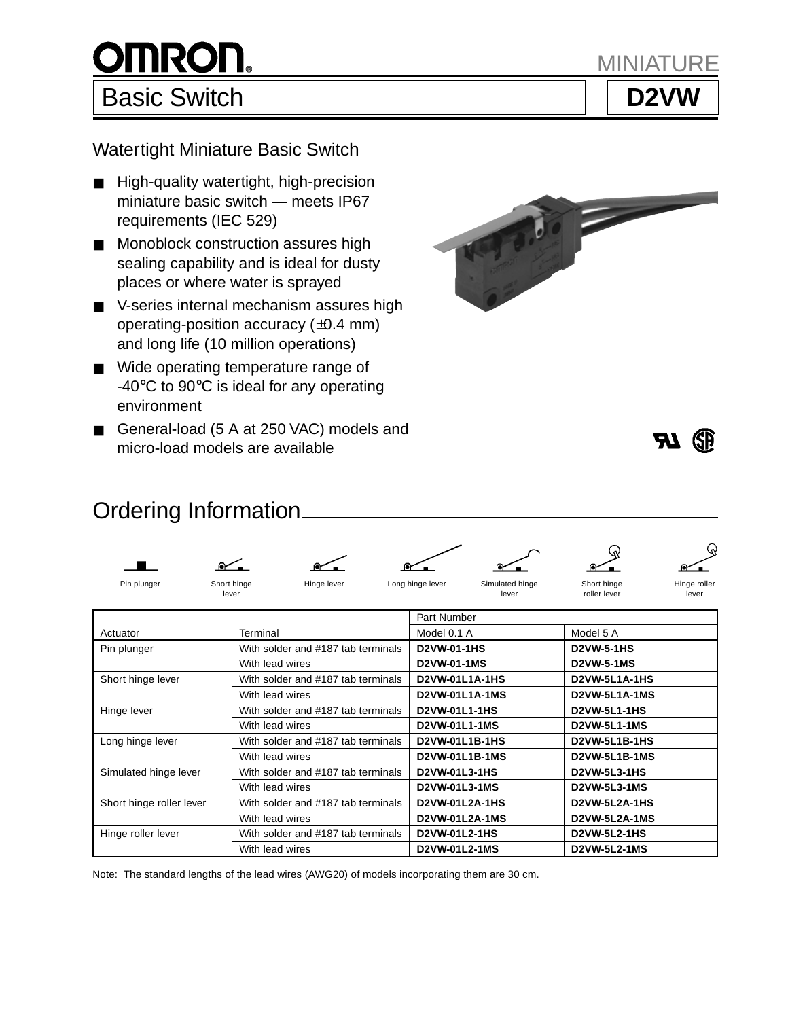

MINIA

Watertight Miniature Basic Switch

- High-quality watertight, high-precision miniature basic switch — meets IP67 requirements (IEC 529)
- Monoblock construction assures high sealing capability and is ideal for dusty places or where water is sprayed
- V-series internal mechanism assures high operating-position accuracy (±0.4 mm) and long life (10 million operations)
- Wide operating temperature range of -40°C to 90°C is ideal for any operating environment
- General-load (5 A at 250 VAC) models and micro-load models are available





# Ordering Information



Pin plunger Short hinge Short hinge Hinge lever Long hinge lever Simulated hinge Short hinge Hinge roller<br>Iever and the lever and the lever and the lever roller lever lever lever lever lever lever lever lever lever lever lever lever lever lever lever lever





|                          |                                    | Part Number           |                      |  |  |  |
|--------------------------|------------------------------------|-----------------------|----------------------|--|--|--|
| Actuator                 | Terminal                           | Model 0.1 A           | Model 5 A            |  |  |  |
| Pin plunger              | With solder and #187 tab terminals | <b>D2VW-01-1HS</b>    | <b>D2VW-5-1HS</b>    |  |  |  |
|                          | With lead wires                    | D2VW-01-1MS           | <b>D2VW-5-1MS</b>    |  |  |  |
| Short hinge lever        | With solder and #187 tab terminals | D2VW-01L1A-1HS        | D2VW-5L1A-1HS        |  |  |  |
|                          | With lead wires                    | D2VW-01L1A-1MS        | D2VW-5L1A-1MS        |  |  |  |
| Hinge lever              | With solder and #187 tab terminals | <b>D2VW-01L1-1HS</b>  | <b>D2VW-5L1-1HS</b>  |  |  |  |
|                          | With lead wires                    | D2VW-01L1-1MS         | <b>D2VW-5L1-1MS</b>  |  |  |  |
| Long hinge lever         | With solder and #187 tab terminals | D2VW-01L1B-1HS        | <b>D2VW-5L1B-1HS</b> |  |  |  |
|                          | With lead wires                    | D2VW-01L1B-1MS        | <b>D2VW-5L1B-1MS</b> |  |  |  |
| Simulated hinge lever    | With solder and #187 tab terminals | D2VW-01L3-1HS         | <b>D2VW-5L3-1HS</b>  |  |  |  |
|                          | With lead wires                    | D2VW-01L3-1MS         | <b>D2VW-5L3-1MS</b>  |  |  |  |
| Short hinge roller lever | With solder and #187 tab terminals | D2VW-01L2A-1HS        | D2VW-5L2A-1HS        |  |  |  |
|                          | With lead wires                    | <b>D2VW-01L2A-1MS</b> | D2VW-5L2A-1MS        |  |  |  |
| Hinge roller lever       | With solder and #187 tab terminals | D2VW-01L2-1HS         | <b>D2VW-5L2-1HS</b>  |  |  |  |
|                          | With lead wires                    | D2VW-01L2-1MS         | <b>D2VW-5L2-1MS</b>  |  |  |  |

Note: The standard lengths of the lead wires (AWG20) of models incorporating them are 30 cm.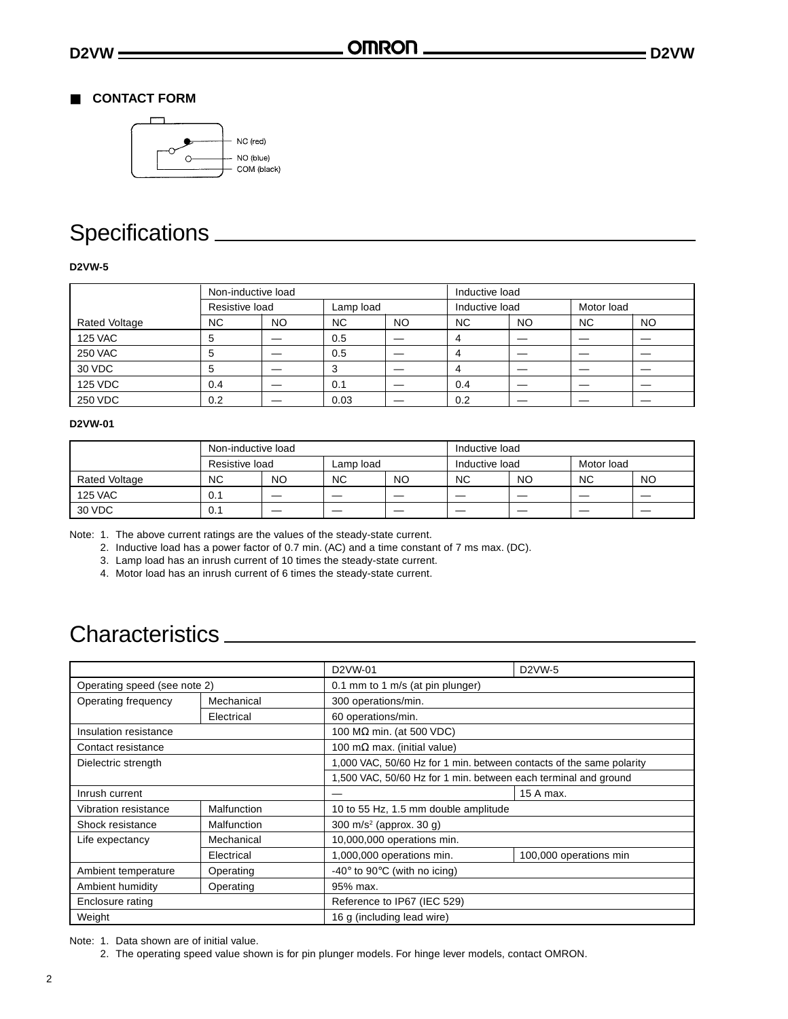## ■ **CONTACT FORM**



# Specifications

### **D2VW-5**

|                | Non-inductive load |           |           |                | Inductive load |            |           |           |
|----------------|--------------------|-----------|-----------|----------------|----------------|------------|-----------|-----------|
|                | Resistive load     | Lamp load |           | Inductive load |                | Motor load |           |           |
| Rated Voltage  | <b>NC</b>          | NO.       | <b>NC</b> | NO.            | <b>NC</b>      | NO         | <b>NC</b> | <b>NO</b> |
| <b>125 VAC</b> | 5                  |           | 0.5       |                | 4              |            |           |           |
| <b>250 VAC</b> | 5                  |           | 0.5       |                | 4              |            |           |           |
| 30 VDC         | 5                  |           | 3         |                | 4              |            |           |           |
| <b>125 VDC</b> | 0.4                |           | 0.1       |                | 0.4            |            |           |           |
| 250 VDC        | 0.2                |           | 0.03      |                | 0.2            |            |           |           |

#### **D2VW-01**

|                | Non-inductive load |                          |           |    | Inductive load           |    |            |    |
|----------------|--------------------|--------------------------|-----------|----|--------------------------|----|------------|----|
|                | Resistive load     |                          | Lamp load |    | Inductive load           |    | Motor load |    |
| Rated Voltage  | NC.                | NO                       | <b>NC</b> | NO | <b>NC</b>                | NO | <b>NC</b>  | NO |
| <b>125 VAC</b> | 0.1                | $\overline{\phantom{0}}$ | __        | _  | $\overline{\phantom{a}}$ | __ | _          |    |
| 30 VDC         | 0.1                |                          | _         | _  | $\overline{\phantom{a}}$ | _  | _          |    |

Note: 1. The above current ratings are the values of the steady-state current.

2. Inductive load has a power factor of 0.7 min. (AC) and a time constant of 7 ms max. (DC).

3. Lamp load has an inrush current of 10 times the steady-state current.

4. Motor load has an inrush current of 6 times the steady-state current.

# Characteristics

|                                  |             | D <sub>2</sub> VW-01                             | D <sub>2</sub> VW-5                                                  |  |  |  |  |
|----------------------------------|-------------|--------------------------------------------------|----------------------------------------------------------------------|--|--|--|--|
| Operating speed (see note 2)     |             | 0.1 mm to 1 m/s (at pin plunger)                 |                                                                      |  |  |  |  |
| Operating frequency              | Mechanical  | 300 operations/min.                              |                                                                      |  |  |  |  |
| 60 operations/min.<br>Electrical |             |                                                  |                                                                      |  |  |  |  |
| Insulation resistance            |             | 100 M $\Omega$ min. (at 500 VDC)                 |                                                                      |  |  |  |  |
| Contact resistance               |             | 100 m $\Omega$ max. (initial value)              |                                                                      |  |  |  |  |
| Dielectric strength              |             |                                                  | 1,000 VAC, 50/60 Hz for 1 min. between contacts of the same polarity |  |  |  |  |
|                                  |             |                                                  | 1,500 VAC, 50/60 Hz for 1 min. between each terminal and ground      |  |  |  |  |
| Inrush current                   |             |                                                  | 15 A max.                                                            |  |  |  |  |
| Vibration resistance             | Malfunction | 10 to 55 Hz, 1.5 mm double amplitude             |                                                                      |  |  |  |  |
| Shock resistance                 | Malfunction | 300 m/s <sup>2</sup> (approx. 30 g)              |                                                                      |  |  |  |  |
| Life expectancy                  | Mechanical  | 10,000,000 operations min.                       |                                                                      |  |  |  |  |
|                                  | Electrical  | 1,000,000 operations min.                        | 100,000 operations min                                               |  |  |  |  |
| Ambient temperature              | Operating   | $-40^{\circ}$ to 90 $^{\circ}$ C (with no icing) |                                                                      |  |  |  |  |
| Ambient humidity                 | Operating   | 95% max.                                         |                                                                      |  |  |  |  |
| Enclosure rating                 |             | Reference to IP67 (IEC 529)                      |                                                                      |  |  |  |  |
| Weight                           |             | 16 g (including lead wire)                       |                                                                      |  |  |  |  |

Note: 1. Data shown are of initial value.

2. The operating speed value shown is for pin plunger models. For hinge lever models, contact OMRON.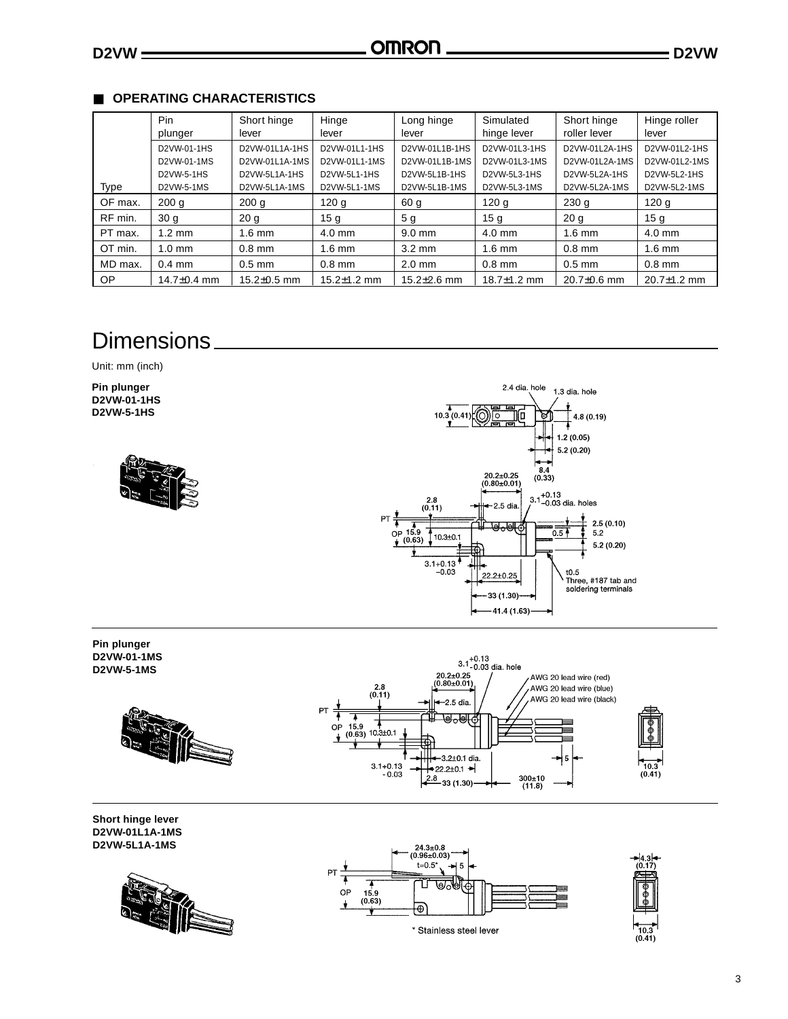# ■ **OPERATING CHARACTERISTICS**

|             | Pin               | Short hinge       | Hinge             | Long hinge        | Simulated         | Short hinge       | Hinge roller      |
|-------------|-------------------|-------------------|-------------------|-------------------|-------------------|-------------------|-------------------|
|             | plunger           | lever             | lever             | lever             | hinge lever       | roller lever      | lever             |
|             | D2VW-01-1HS       | D2VW-01L1A-1HS    | D2VW-01L1-1HS     | D2VW-01L1B-1HS    | D2VW-01L3-1HS     | D2VW-01L2A-1HS    | D2VW-01L2-1HS     |
|             | D2VW-01-1MS       | D2VW-01L1A-1MS    | D2VW-01L1-1MS     | D2VW-01L1B-1MS    | D2VW-01L3-1MS     | D2VW-01L2A-1MS    | D2VW-01L2-1MS     |
|             | D2VW-5-1HS        | D2VW-5L1A-1HS     | D2VW-5L1-1HS      | D2VW-5L1B-1HS     | D2VW-5L3-1HS      | D2VW-5L2A-1HS     | D2VW-5L2-1HS      |
| <b>Type</b> | D2VW-5-1MS        | D2VW-5L1A-1MS     | D2VW-5L1-1MS      | D2VW-5L1B-1MS     | D2VW-5L3-1MS      | D2VW-5L2A-1MS     | D2VW-5L2-1MS      |
| OF max.     | 200q              | 200 <sub>g</sub>  | 120 <sub>g</sub>  | 60 g              | 120q              | 230q              | 120q              |
| RF min.     | 30 <sub>g</sub>   | 20 <sub>q</sub>   | 15 <sub>q</sub>   | 5 <sub>q</sub>    | 15 <sub>q</sub>   | 20 <sub>g</sub>   | 15 <sub>g</sub>   |
| PT max.     | $1.2 \text{ mm}$  | $1.6$ mm          | $4.0$ mm          | $9.0 \text{ mm}$  | $4.0$ mm          | $1.6$ mm          | $4.0$ mm          |
| OT min.     | $1.0 \text{ mm}$  | $0.8$ mm          | $1.6$ mm          | $3.2 \text{ mm}$  | $1.6$ mm          | $0.8$ mm          | $1.6$ mm          |
| MD max.     | $0.4$ mm          | $0.5$ mm          | $0.8$ mm          | $2.0$ mm          | $0.8$ mm          | $0.5$ mm          | $0.8$ mm          |
| OP          | 14.7 $\pm$ 0.4 mm | $15.2 \pm 0.5$ mm | $15.2 \pm 1.2$ mm | $15.2 \pm 2.6$ mm | 18.7 $\pm$ 1.2 mm | $20.7 \pm 0.6$ mm | $20.7 \pm 1.2$ mm |

# **Dimensions**

Unit: mm (inch)

**Pin plunger D2VW-01-1HS D2VW-5-1HS**







**Short hinge lever D2VW-01L1A-1MS D2VW-5L1A-1MS**





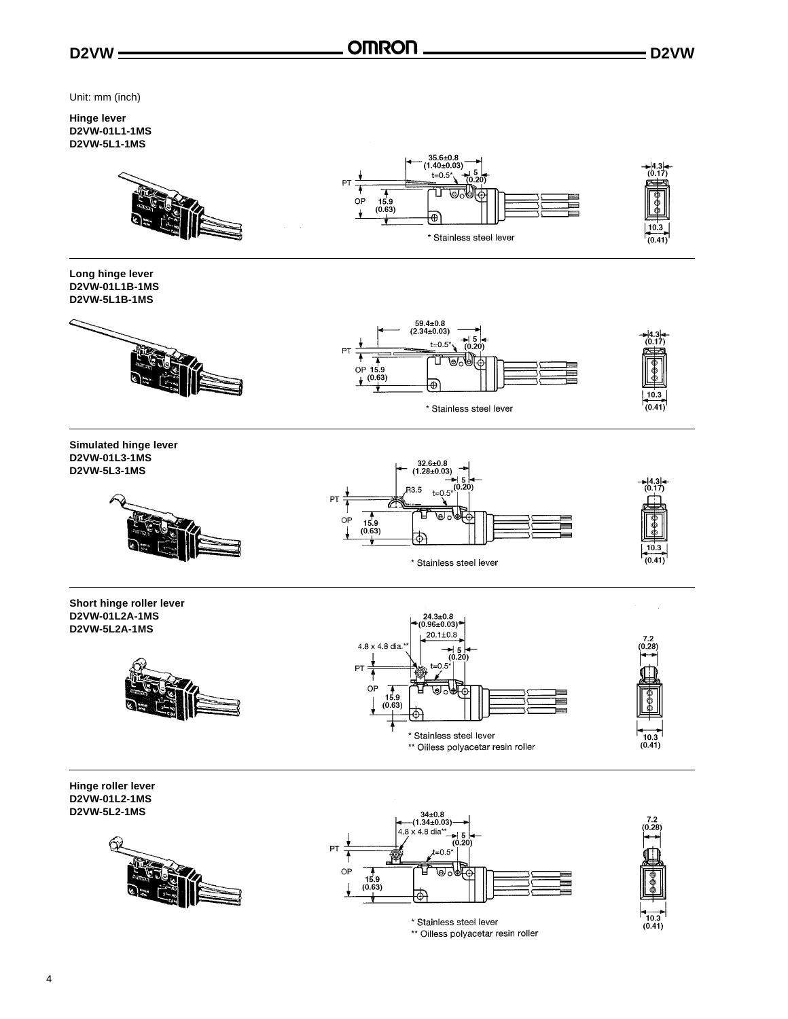

Unit: mm (inch)

#### **Hinge lever D2VW-01L1-1MS D2VW-5L1-1MS**



**Long hinge lever D2VW-01L1B-1MS D2VW-5L1B-1MS**





**Simulated hinge lever D2VW-01L3-1MS D2VW-5L3-1MS**







**Short hinge roller lever D2VW-01L2A-1MS D2VW-5L2A-1MS**







**Hinge roller lever D2VW-01L2-1MS D2VW-5L2-1MS**







\* Stainless steel lever \*\* Oilless polyacetar resin roller